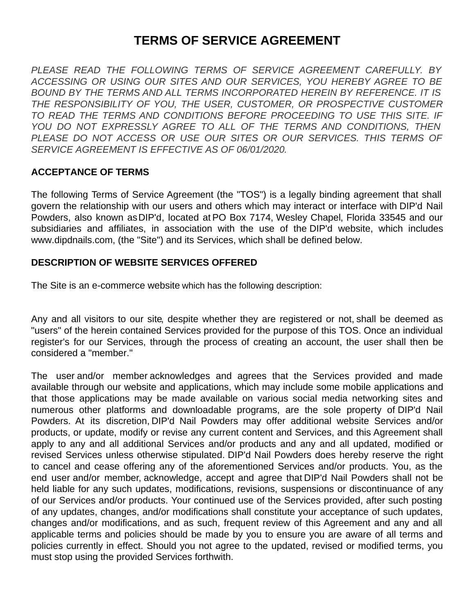# **TERMS OF SERVICE AGREEMENT**

*PLEASE READ THE FOLLOWING TERMS OF SERVICE AGREEMENT CAREFULLY. BY ACCESSING OR USING OUR SITES AND OUR SERVICES, YOU HEREBY AGREE TO BE BOUND BY THE TERMS AND ALL TERMS INCORPORATED HEREIN BY REFERENCE. IT IS THE RESPONSIBILITY OF YOU, THE USER, CUSTOMER, OR PROSPECTIVE CUSTOMER TO READ THE TERMS AND CONDITIONS BEFORE PROCEEDING TO USE THIS SITE. IF YOU DO NOT EXPRESSLY AGREE TO ALL OF THE TERMS AND CONDITIONS, THEN PLEASE DO NOT ACCESS OR USE OUR SITES OR OUR SERVICES. THIS TERMS OF SERVICE AGREEMENT IS EFFECTIVE AS OF 06/01/2020.*

#### **ACCEPTANCE OF TERMS**

The following Terms of Service Agreement (the "TOS") is a legally binding agreement that shall govern the relationship with our users and others which may interact or interface with DIP'd Nail Powders, also known asDIP'd, located at PO Box 7174, Wesley Chapel, Florida 33545 and our subsidiaries and affiliates, in association with the use of the DIP'd website, which includes www.dipdnails.com, (the "Site") and its Services, which shall be defined below.

#### **DESCRIPTION OF WEBSITE SERVICES OFFERED**

The Site is an e-commerce website which has the following description:

Any and all visitors to our site, despite whether they are registered or not, shall be deemed as "users" of the herein contained Services provided for the purpose of this TOS. Once an individual register's for our Services, through the process of creating an account, the user shall then be considered a "member."

The user and/or member acknowledges and agrees that the Services provided and made available through our website and applications, which may include some mobile applications and that those applications may be made available on various social media networking sites and numerous other platforms and downloadable programs, are the sole property of DIP'd Nail Powders. At its discretion, DIP'd Nail Powders may offer additional website Services and/or products, or update, modify or revise any current content and Services, and this Agreement shall apply to any and all additional Services and/or products and any and all updated, modified or revised Services unless otherwise stipulated. DIP'd Nail Powders does hereby reserve the right to cancel and cease offering any of the aforementioned Services and/or products. You, as the end user and/or member, acknowledge, accept and agree that DIP'd Nail Powders shall not be held liable for any such updates, modifications, revisions, suspensions or discontinuance of any of our Services and/or products. Your continued use of the Services provided, after such posting of any updates, changes, and/or modifications shall constitute your acceptance of such updates, changes and/or modifications, and as such, frequent review of this Agreement and any and all applicable terms and policies should be made by you to ensure you are aware of all terms and policies currently in effect. Should you not agree to the updated, revised or modified terms, you must stop using the provided Services forthwith.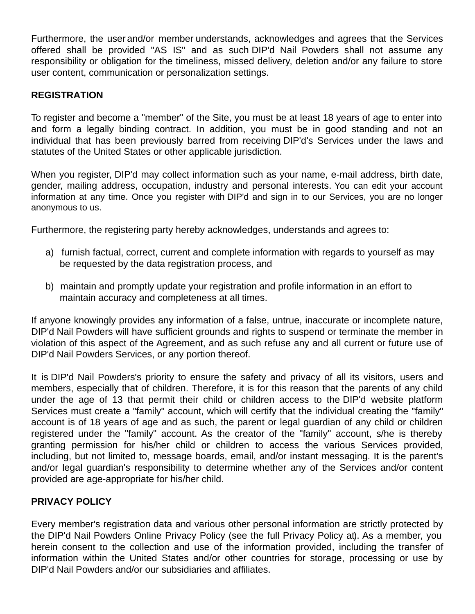Furthermore, the user and/or member understands, acknowledges and agrees that the Services offered shall be provided "AS IS" and as such DIP'd Nail Powders shall not assume any responsibility or obligation for the timeliness, missed delivery, deletion and/or any failure to store user content, communication or personalization settings.

#### **REGISTRATION**

To register and become a "member" of the Site, you must be at least 18 years of age to enter into and form a legally binding contract. In addition, you must be in good standing and not an individual that has been previously barred from receiving DIP'd's Services under the laws and statutes of the United States or other applicable jurisdiction.

When you register, DIP'd may collect information such as your name, e-mail address, birth date, gender, mailing address, occupation, industry and personal interests. You can edit your account information at any time. Once you register with DIP'd and sign in to our Services, you are no longer anonymous to us.

Furthermore, the registering party hereby acknowledges, understands and agrees to:

- a) furnish factual, correct, current and complete information with regards to yourself as may be requested by the data registration process, and
- b) maintain and promptly update your registration and profile information in an effort to maintain accuracy and completeness at all times.

If anyone knowingly provides any information of a false, untrue, inaccurate or incomplete nature, DIP'd Nail Powders will have sufficient grounds and rights to suspend or terminate the member in violation of this aspect of the Agreement, and as such refuse any and all current or future use of DIP'd Nail Powders Services, or any portion thereof.

It is DIP'd Nail Powders's priority to ensure the safety and privacy of all its visitors, users and members, especially that of children. Therefore, it is for this reason that the parents of any child under the age of 13 that permit their child or children access to the DIP'd website platform Services must create a "family" account, which will certify that the individual creating the "family" account is of 18 years of age and as such, the parent or legal guardian of any child or children registered under the "family" account. As the creator of the "family" account, s/he is thereby granting permission for his/her child or children to access the various Services provided, including, but not limited to, message boards, email, and/or instant messaging. It is the parent's and/or legal guardian's responsibility to determine whether any of the Services and/or content provided are age-appropriate for his/her child.

## **PRIVACY POLICY**

Every member's registration data and various other personal information are strictly protected by the DIP'd Nail Powders Online Privacy Policy (see the full Privacy Policy at). As a member, you herein consent to the collection and use of the information provided, including the transfer of information within the United States and/or other countries for storage, processing or use by DIP'd Nail Powders and/or our subsidiaries and affiliates.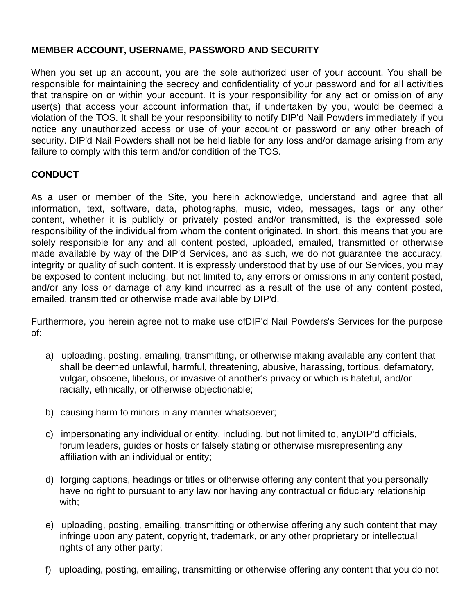## **MEMBER ACCOUNT, USERNAME, PASSWORD AND SECURITY**

When you set up an account, you are the sole authorized user of your account. You shall be responsible for maintaining the secrecy and confidentiality of your password and for all activities that transpire on or within your account. It is your responsibility for any act or omission of any user(s) that access your account information that, if undertaken by you, would be deemed a violation of the TOS. It shall be your responsibility to notify DIP'd Nail Powders immediately if you notice any unauthorized access or use of your account or password or any other breach of security. DIP'd Nail Powders shall not be held liable for any loss and/or damage arising from any failure to comply with this term and/or condition of the TOS.

#### **CONDUCT**

As a user or member of the Site, you herein acknowledge, understand and agree that all information, text, software, data, photographs, music, video, messages, tags or any other content, whether it is publicly or privately posted and/or transmitted, is the expressed sole responsibility of the individual from whom the content originated. In short, this means that you are solely responsible for any and all content posted, uploaded, emailed, transmitted or otherwise made available by way of the DIP'd Services, and as such, we do not guarantee the accuracy, integrity or quality of such content. It is expressly understood that by use of our Services, you may be exposed to content including, but not limited to, any errors or omissions in any content posted, and/or any loss or damage of any kind incurred as a result of the use of any content posted, emailed, transmitted or otherwise made available by DIP'd.

Furthermore, you herein agree not to make use ofDIP'd Nail Powders's Services for the purpose of:

- a) uploading, posting, emailing, transmitting, or otherwise making available any content that shall be deemed unlawful, harmful, threatening, abusive, harassing, tortious, defamatory, vulgar, obscene, libelous, or invasive of another's privacy or which is hateful, and/or racially, ethnically, or otherwise objectionable;
- b) causing harm to minors in any manner whatsoever;
- c) impersonating any individual or entity, including, but not limited to, anyDIP'd officials, forum leaders, guides or hosts or falsely stating or otherwise misrepresenting any affiliation with an individual or entity;
- d) forging captions, headings or titles or otherwise offering any content that you personally have no right to pursuant to any law nor having any contractual or fiduciary relationship with;
- e) uploading, posting, emailing, transmitting or otherwise offering any such content that may infringe upon any patent, copyright, trademark, or any other proprietary or intellectual rights of any other party;
- f) uploading, posting, emailing, transmitting or otherwise offering any content that you do not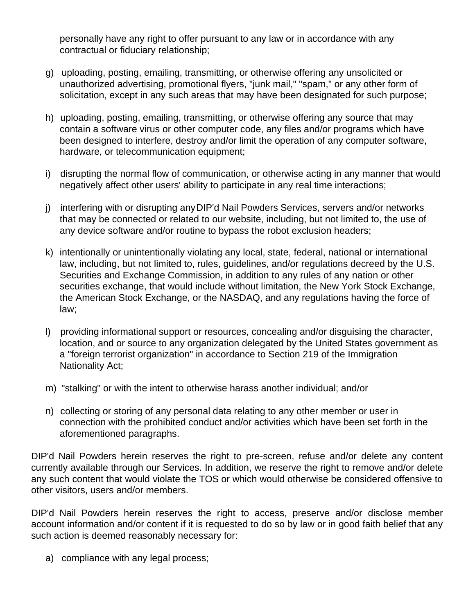personally have any right to offer pursuant to any law or in accordance with any contractual or fiduciary relationship;

- g) uploading, posting, emailing, transmitting, or otherwise offering any unsolicited or unauthorized advertising, promotional flyers, "junk mail," "spam," or any other form of solicitation, except in any such areas that may have been designated for such purpose;
- h) uploading, posting, emailing, transmitting, or otherwise offering any source that may contain a software virus or other computer code, any files and/or programs which have been designed to interfere, destroy and/or limit the operation of any computer software, hardware, or telecommunication equipment;
- i) disrupting the normal flow of communication, or otherwise acting in any manner that would negatively affect other users' ability to participate in any real time interactions;
- j) interfering with or disrupting anyDIP'd Nail Powders Services, servers and/or networks that may be connected or related to our website, including, but not limited to, the use of any device software and/or routine to bypass the robot exclusion headers;
- k) intentionally or unintentionally violating any local, state, federal, national or international law, including, but not limited to, rules, guidelines, and/or regulations decreed by the U.S. Securities and Exchange Commission, in addition to any rules of any nation or other securities exchange, that would include without limitation, the New York Stock Exchange, the American Stock Exchange, or the NASDAQ, and any regulations having the force of law;
- l) providing informational support or resources, concealing and/or disguising the character, location, and or source to any organization delegated by the United States government as a "foreign terrorist organization" in accordance to Section 219 of the Immigration Nationality Act;
- m) "stalking" or with the intent to otherwise harass another individual; and/or
- n) collecting or storing of any personal data relating to any other member or user in connection with the prohibited conduct and/or activities which have been set forth in the aforementioned paragraphs.

DIP'd Nail Powders herein reserves the right to pre-screen, refuse and/or delete any content currently available through our Services. In addition, we reserve the right to remove and/or delete any such content that would violate the TOS or which would otherwise be considered offensive to other visitors, users and/or members.

DIP'd Nail Powders herein reserves the right to access, preserve and/or disclose member account information and/or content if it is requested to do so by law or in good faith belief that any such action is deemed reasonably necessary for:

a) compliance with any legal process;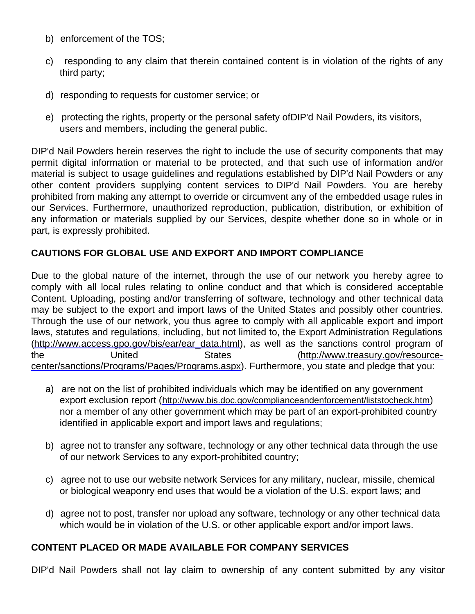- b) enforcement of the TOS;
- c) responding to any claim that therein contained content is in violation of the rights of any third party;
- d) responding to requests for customer service; or
- e) protecting the rights, property or the personal safety ofDIP'd Nail Powders, its visitors, users and members, including the general public.

DIP'd Nail Powders herein reserves the right to include the use of security components that may permit digital information or material to be protected, and that such use of information and/or material is subject to usage guidelines and regulations established by DIP'd Nail Powders or any other content providers supplying content services to DIP'd Nail Powders. You are hereby prohibited from making any attempt to override or circumvent any of the embedded usage rules in our Services. Furthermore, unauthorized reproduction, publication, distribution, or exhibition of any information or materials supplied by our Services, despite whether done so in whole or in part, is expressly prohibited.

#### **CAUTIONS FOR GLOBAL USE AND EXPORT AND IMPORT COMPLIANCE**

Due to the global nature of the internet, through the use of our network you hereby agree to comply with all local rules relating to online conduct and that which is considered acceptable Content. Uploading, posting and/or transferring of software, technology and other technical data may be subject to the export and import laws of the United States and possibly other countries. Through the use of our network, you thus agree to comply with all applicable export and import laws, statutes and regulations, including, but not limited to, the Export Administration Regulations [\(http://www.access.gpo.gov/bis/ear/ear\\_data.html](http://www.access.gpo.gov/bis/ear/ear_data.html)), as well as the sanctions control program of the United States (http://www.treasury.gov/resource[center/sanctions/Programs/Pages/Programs.aspx\).](http://www.treasury.gov/resource-center/sanctions/Programs/Pages/Programs.aspx) Furthermore, you state and pledge that you:

- a) are not on the list of prohibited individuals which may be identified on any government export exclusion report (<http://www.bis.doc.gov/complianceandenforcement/liststocheck.htm>) nor a member of any other government which may be part of an export-prohibited country identified in applicable export and import laws and regulations;
- b) agree not to transfer any software, technology or any other technical data through the use of our network Services to any export-prohibited country;
- c) agree not to use our website network Services for any military, nuclear, missile, chemical or biological weaponry end uses that would be a violation of the U.S. export laws; and
- d) agree not to post, transfer nor upload any software, technology or any other technical data which would be in violation of the U.S. or other applicable export and/or import laws.

## **CONTENT PLACED OR MADE AVAILABLE FOR COMPANY SERVICES**

DIP'd Nail Powders shall not lay claim to ownership of any content submitted by any visitor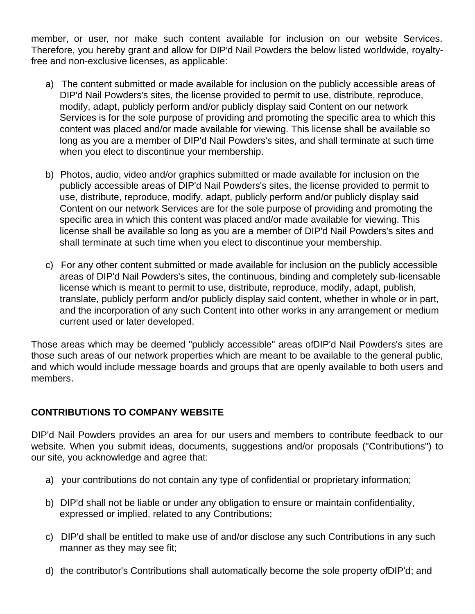member, or user, nor make such content available for inclusion on our website Services. Therefore, you hereby grant and allow for DIP'd Nail Powders the below listed worldwide, royaltyfree and non-exclusive licenses, as applicable:

- a) The content submitted or made available for inclusion on the publicly accessible areas of DIP'd Nail Powders's sites, the license provided to permit to use, distribute, reproduce, modify, adapt, publicly perform and/or publicly display said Content on our network Services is for the sole purpose of providing and promoting the specific area to which this content was placed and/or made available for viewing. This license shall be available so long as you are a member of DIP'd Nail Powders's sites, and shall terminate at such time when you elect to discontinue your membership.
- b) Photos, audio, video and/or graphics submitted or made available for inclusion on the publicly accessible areas of DIP'd Nail Powders's sites, the license provided to permit to use, distribute, reproduce, modify, adapt, publicly perform and/or publicly display said Content on our network Services are for the sole purpose of providing and promoting the specific area in which this content was placed and/or made available for viewing. This license shall be available so long as you are a member of DIP'd Nail Powders's sites and shall terminate at such time when you elect to discontinue your membership.
- c) For any other content submitted or made available for inclusion on the publicly accessible areas of DIP'd Nail Powders's sites, the continuous, binding and completely sub-licensable license which is meant to permit to use, distribute, reproduce, modify, adapt, publish, translate, publicly perform and/or publicly display said content, whether in whole or in part, and the incorporation of any such Content into other works in any arrangement or medium current used or later developed.

Those areas which may be deemed "publicly accessible" areas ofDIP'd Nail Powders's sites are those such areas of our network properties which are meant to be available to the general public, and which would include message boards and groups that are openly available to both users and members.

# **CONTRIBUTIONS TO COMPANY WEBSITE**

DIP'd Nail Powders provides an area for our users and members to contribute feedback to our website. When you submit ideas, documents, suggestions and/or proposals ("Contributions") to our site, you acknowledge and agree that:

- a) your contributions do not contain any type of confidential or proprietary information;
- b) DIP'd shall not be liable or under any obligation to ensure or maintain confidentiality, expressed or implied, related to any Contributions;
- c) DIP'd shall be entitled to make use of and/or disclose any such Contributions in any such manner as they may see fit;
- d) the contributor's Contributions shall automatically become the sole property ofDIP'd; and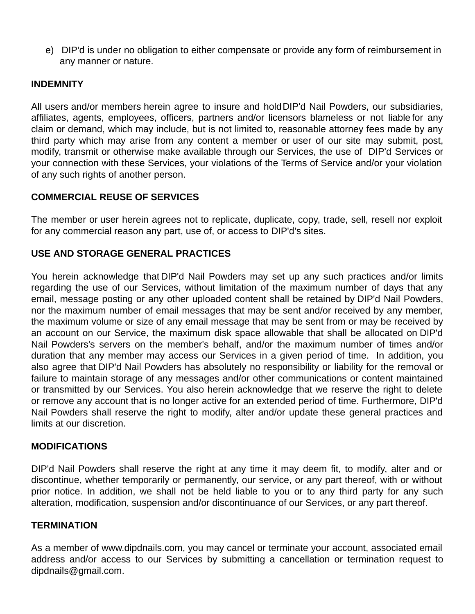e) DIP'd is under no obligation to either compensate or provide any form of reimbursement in any manner or nature.

#### **INDEMNITY**

All users and/or members herein agree to insure and holdDIP'd Nail Powders, our subsidiaries, affiliates, agents, employees, officers, partners and/or licensors blameless or not liable for any claim or demand, which may include, but is not limited to, reasonable attorney fees made by any third party which may arise from any content a member or user of our site may submit, post, modify, transmit or otherwise make available through our Services, the use of DIP'd Services or your connection with these Services, your violations of the Terms of Service and/or your violation of any such rights of another person.

## **COMMERCIAL REUSE OF SERVICES**

The member or user herein agrees not to replicate, duplicate, copy, trade, sell, resell nor exploit for any commercial reason any part, use of, or access to DIP'd's sites.

# **USE AND STORAGE GENERAL PRACTICES**

You herein acknowledge that DIP'd Nail Powders may set up any such practices and/or limits regarding the use of our Services, without limitation of the maximum number of days that any email, message posting or any other uploaded content shall be retained by DIP'd Nail Powders, nor the maximum number of email messages that may be sent and/or received by any member, the maximum volume or size of any email message that may be sent from or may be received by an account on our Service, the maximum disk space allowable that shall be allocated on DIP'd Nail Powders's servers on the member's behalf, and/or the maximum number of times and/or duration that any member may access our Services in a given period of time. In addition, you also agree that DIP'd Nail Powders has absolutely no responsibility or liability for the removal or failure to maintain storage of any messages and/or other communications or content maintained or transmitted by our Services. You also herein acknowledge that we reserve the right to delete or remove any account that is no longer active for an extended period of time. Furthermore, DIP'd Nail Powders shall reserve the right to modify, alter and/or update these general practices and limits at our discretion.

#### **MODIFICATIONS**

DIP'd Nail Powders shall reserve the right at any time it may deem fit, to modify, alter and or discontinue, whether temporarily or permanently, our service, or any part thereof, with or without prior notice. In addition, we shall not be held liable to you or to any third party for any such alteration, modification, suspension and/or discontinuance of our Services, or any part thereof.

#### **TERMINATION**

As a member of www.dipdnails.com, you may cancel or terminate your account, associated email address and/or access to our Services by submitting a cancellation or termination request to dipdnails@gmail.com.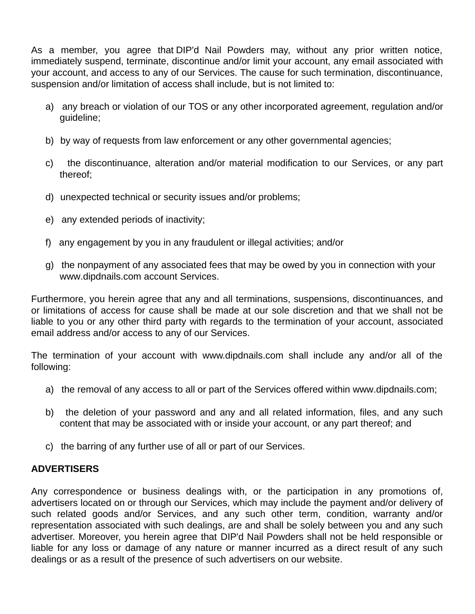As a member, you agree that DIP'd Nail Powders may, without any prior written notice, immediately suspend, terminate, discontinue and/or limit your account, any email associated with your account, and access to any of our Services. The cause for such termination, discontinuance, suspension and/or limitation of access shall include, but is not limited to:

- a) any breach or violation of our TOS or any other incorporated agreement, regulation and/or guideline;
- b) by way of requests from law enforcement or any other governmental agencies;
- c) the discontinuance, alteration and/or material modification to our Services, or any part thereof;
- d) unexpected technical or security issues and/or problems;
- e) any extended periods of inactivity;
- f) any engagement by you in any fraudulent or illegal activities; and/or
- g) the nonpayment of any associated fees that may be owed by you in connection with your www.dipdnails.com account Services.

Furthermore, you herein agree that any and all terminations, suspensions, discontinuances, and or limitations of access for cause shall be made at our sole discretion and that we shall not be liable to you or any other third party with regards to the termination of your account, associated email address and/or access to any of our Services.

The termination of your account with www.dipdnails.com shall include any and/or all of the following:

- a) the removal of any access to all or part of the Services offered within www.dipdnails.com;
- b) the deletion of your password and any and all related information, files, and any such content that may be associated with or inside your account, or any part thereof; and
- c) the barring of any further use of all or part of our Services.

# **ADVERTISERS**

Any correspondence or business dealings with, or the participation in any promotions of, advertisers located on or through our Services, which may include the payment and/or delivery of such related goods and/or Services, and any such other term, condition, warranty and/or representation associated with such dealings, are and shall be solely between you and any such advertiser. Moreover, you herein agree that DIP'd Nail Powders shall not be held responsible or liable for any loss or damage of any nature or manner incurred as a direct result of any such dealings or as a result of the presence of such advertisers on our website.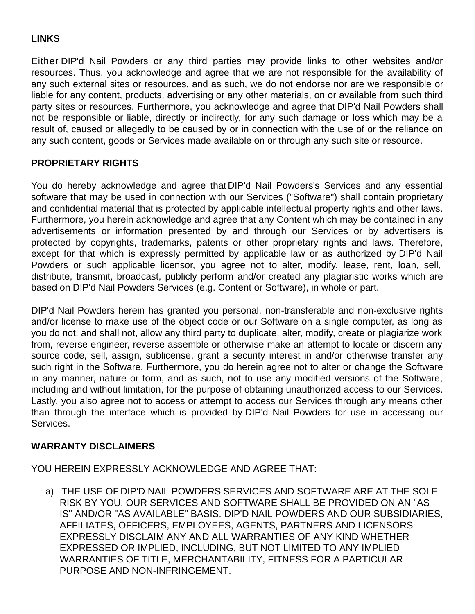# **LINKS**

Either DIP'd Nail Powders or any third parties may provide links to other websites and/or resources. Thus, you acknowledge and agree that we are not responsible for the availability of any such external sites or resources, and as such, we do not endorse nor are we responsible or liable for any content, products, advertising or any other materials, on or available from such third party sites or resources. Furthermore, you acknowledge and agree that DIP'd Nail Powders shall not be responsible or liable, directly or indirectly, for any such damage or loss which may be a result of, caused or allegedly to be caused by or in connection with the use of or the reliance on any such content, goods or Services made available on or through any such site or resource.

## **PROPRIETARY RIGHTS**

You do hereby acknowledge and agree that DIP'd Nail Powders's Services and any essential software that may be used in connection with our Services ("Software") shall contain proprietary and confidential material that is protected by applicable intellectual property rights and other laws. Furthermore, you herein acknowledge and agree that any Content which may be contained in any advertisements or information presented by and through our Services or by advertisers is protected by copyrights, trademarks, patents or other proprietary rights and laws. Therefore, except for that which is expressly permitted by applicable law or as authorized by DIP'd Nail Powders or such applicable licensor, you agree not to alter, modify, lease, rent, loan, sell, distribute, transmit, broadcast, publicly perform and/or created any plagiaristic works which are based on DIP'd Nail Powders Services (e.g. Content or Software), in whole or part.

DIP'd Nail Powders herein has granted you personal, non-transferable and non-exclusive rights and/or license to make use of the object code or our Software on a single computer, as long as you do not, and shall not, allow any third party to duplicate, alter, modify, create or plagiarize work from, reverse engineer, reverse assemble or otherwise make an attempt to locate or discern any source code, sell, assign, sublicense, grant a security interest in and/or otherwise transfer any such right in the Software. Furthermore, you do herein agree not to alter or change the Software in any manner, nature or form, and as such, not to use any modified versions of the Software, including and without limitation, for the purpose of obtaining unauthorized access to our Services. Lastly, you also agree not to access or attempt to access our Services through any means other than through the interface which is provided by DIP'd Nail Powders for use in accessing our Services.

#### **WARRANTY DISCLAIMERS**

YOU HEREIN EXPRESSLY ACKNOWLEDGE AND AGREE THAT:

a) THE USE OF DIP'D NAIL POWDERS SERVICES AND SOFTWARE ARE AT THE SOLE RISK BY YOU. OUR SERVICES AND SOFTWARE SHALL BE PROVIDED ON AN "AS IS" AND/OR "AS AVAILABLE" BASIS. DIP'D NAIL POWDERS AND OUR SUBSIDIARIES, AFFILIATES, OFFICERS, EMPLOYEES, AGENTS, PARTNERS AND LICENSORS EXPRESSLY DISCLAIM ANY AND ALL WARRANTIES OF ANY KIND WHETHER EXPRESSED OR IMPLIED, INCLUDING, BUT NOT LIMITED TO ANY IMPLIED WARRANTIES OF TITLE, MERCHANTABILITY, FITNESS FOR A PARTICULAR PURPOSE AND NON-INFRINGEMENT.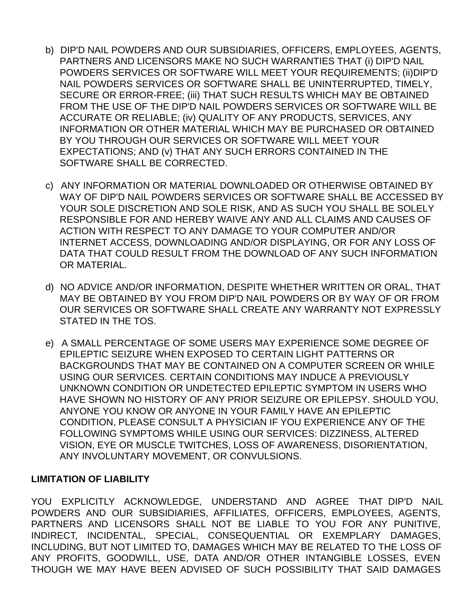- b) DIP'D NAIL POWDERS AND OUR SUBSIDIARIES, OFFICERS, EMPLOYEES, AGENTS, PARTNERS AND LICENSORS MAKE NO SUCH WARRANTIES THAT (i) DIP'D NAIL POWDERS SERVICES OR SOFTWARE WILL MEET YOUR REQUIREMENTS; (ii)DIP'D NAIL POWDERS SERVICES OR SOFTWARE SHALL BE UNINTERRUPTED, TIMELY, SECURE OR ERROR-FREE; (iii) THAT SUCH RESULTS WHICH MAY BE OBTAINED FROM THE USE OF THE DIP'D NAIL POWDERS SERVICES OR SOFTWARE WILL BE ACCURATE OR RELIABLE; (iv) QUALITY OF ANY PRODUCTS, SERVICES, ANY INFORMATION OR OTHER MATERIAL WHICH MAY BE PURCHASED OR OBTAINED BY YOU THROUGH OUR SERVICES OR SOFTWARE WILL MEET YOUR EXPECTATIONS; AND (v) THAT ANY SUCH ERRORS CONTAINED IN THE SOFTWARE SHALL BE CORRECTED.
- c) ANY INFORMATION OR MATERIAL DOWNLOADED OR OTHERWISE OBTAINED BY WAY OF DIP'D NAIL POWDERS SERVICES OR SOFTWARE SHALL BE ACCESSED BY YOUR SOLE DISCRETION AND SOLE RISK, AND AS SUCH YOU SHALL BE SOLELY RESPONSIBLE FOR AND HEREBY WAIVE ANY AND ALL CLAIMS AND CAUSES OF ACTION WITH RESPECT TO ANY DAMAGE TO YOUR COMPUTER AND/OR INTERNET ACCESS, DOWNLOADING AND/OR DISPLAYING, OR FOR ANY LOSS OF DATA THAT COULD RESULT FROM THE DOWNLOAD OF ANY SUCH INFORMATION OR MATERIAL.
- d) NO ADVICE AND/OR INFORMATION, DESPITE WHETHER WRITTEN OR ORAL, THAT MAY BE OBTAINED BY YOU FROM DIP'D NAIL POWDERS OR BY WAY OF OR FROM OUR SERVICES OR SOFTWARE SHALL CREATE ANY WARRANTY NOT EXPRESSLY STATED IN THE TOS.
- e) A SMALL PERCENTAGE OF SOME USERS MAY EXPERIENCE SOME DEGREE OF EPILEPTIC SEIZURE WHEN EXPOSED TO CERTAIN LIGHT PATTERNS OR BACKGROUNDS THAT MAY BE CONTAINED ON A COMPUTER SCREEN OR WHILE USING OUR SERVICES. CERTAIN CONDITIONS MAY INDUCE A PREVIOUSLY UNKNOWN CONDITION OR UNDETECTED EPILEPTIC SYMPTOM IN USERS WHO HAVE SHOWN NO HISTORY OF ANY PRIOR SEIZURE OR EPILEPSY. SHOULD YOU, ANYONE YOU KNOW OR ANYONE IN YOUR FAMILY HAVE AN EPILEPTIC CONDITION, PLEASE CONSULT A PHYSICIAN IF YOU EXPERIENCE ANY OF THE FOLLOWING SYMPTOMS WHILE USING OUR SERVICES: DIZZINESS, ALTERED VISION, EYE OR MUSCLE TWITCHES, LOSS OF AWARENESS, DISORIENTATION, ANY INVOLUNTARY MOVEMENT, OR CONVULSIONS.

## **LIMITATION OF LIABILITY**

YOU EXPLICITLY ACKNOWLEDGE, UNDERSTAND AND AGREE THAT DIP'D NAIL POWDERS AND OUR SUBSIDIARIES, AFFILIATES, OFFICERS, EMPLOYEES, AGENTS, PARTNERS AND LICENSORS SHALL NOT BE LIABLE TO YOU FOR ANY PUNITIVE, INDIRECT, INCIDENTAL, SPECIAL, CONSEQUENTIAL OR EXEMPLARY DAMAGES, INCLUDING, BUT NOT LIMITED TO, DAMAGES WHICH MAY BE RELATED TO THE LOSS OF ANY PROFITS, GOODWILL, USE, DATA AND/OR OTHER INTANGIBLE LOSSES, EVEN THOUGH WE MAY HAVE BEEN ADVISED OF SUCH POSSIBILITY THAT SAID DAMAGES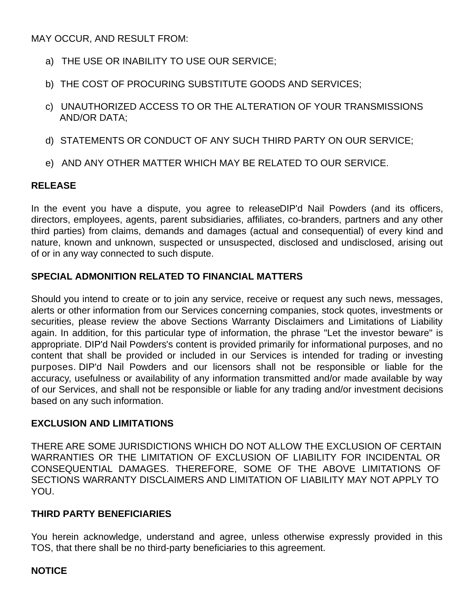MAY OCCUR, AND RESULT FROM:

- a) THE USE OR INABILITY TO USE OUR SERVICE;
- b) THE COST OF PROCURING SUBSTITUTE GOODS AND SERVICES;
- c) UNAUTHORIZED ACCESS TO OR THE ALTERATION OF YOUR TRANSMISSIONS AND/OR DATA;
- d) STATEMENTS OR CONDUCT OF ANY SUCH THIRD PARTY ON OUR SERVICE;
- e) AND ANY OTHER MATTER WHICH MAY BE RELATED TO OUR SERVICE.

# **RELEASE**

In the event you have a dispute, you agree to releaseDIP'd Nail Powders (and its officers, directors, employees, agents, parent subsidiaries, affiliates, co-branders, partners and any other third parties) from claims, demands and damages (actual and consequential) of every kind and nature, known and unknown, suspected or unsuspected, disclosed and undisclosed, arising out of or in any way connected to such dispute.

# **SPECIAL ADMONITION RELATED TO FINANCIAL MATTERS**

Should you intend to create or to join any service, receive or request any such news, messages, alerts or other information from our Services concerning companies, stock quotes, investments or securities, please review the above Sections Warranty Disclaimers and Limitations of Liability again. In addition, for this particular type of information, the phrase "Let the investor beware" is appropriate. DIP'd Nail Powders's content is provided primarily for informational purposes, and no content that shall be provided or included in our Services is intended for trading or investing purposes. DIP'd Nail Powders and our licensors shall not be responsible or liable for the accuracy, usefulness or availability of any information transmitted and/or made available by way of our Services, and shall not be responsible or liable for any trading and/or investment decisions based on any such information.

## **EXCLUSION AND LIMITATIONS**

THERE ARE SOME JURISDICTIONS WHICH DO NOT ALLOW THE EXCLUSION OF CERTAIN WARRANTIES OR THE LIMITATION OF EXCLUSION OF LIABILITY FOR INCIDENTAL OR CONSEQUENTIAL DAMAGES. THEREFORE, SOME OF THE ABOVE LIMITATIONS OF SECTIONS WARRANTY DISCLAIMERS AND LIMITATION OF LIABILITY MAY NOT APPLY TO YOU.

## **THIRD PARTY BENEFICIARIES**

You herein acknowledge, understand and agree, unless otherwise expressly provided in this TOS, that there shall be no third-party beneficiaries to this agreement.

## **NOTICE**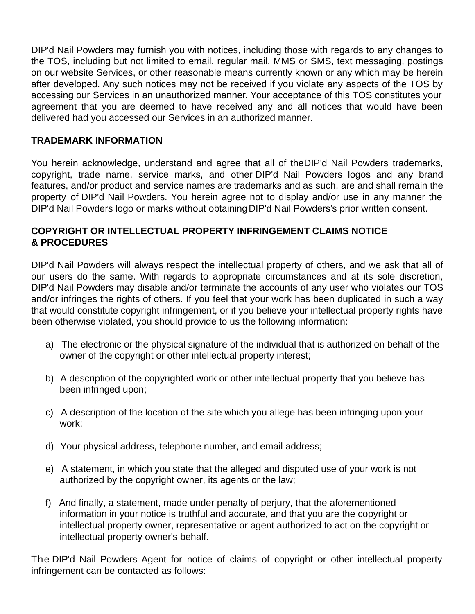DIP'd Nail Powders may furnish you with notices, including those with regards to any changes to the TOS, including but not limited to email, regular mail, MMS or SMS, text messaging, postings on our website Services, or other reasonable means currently known or any which may be herein after developed. Any such notices may not be received if you violate any aspects of the TOS by accessing our Services in an unauthorized manner. Your acceptance of this TOS constitutes your agreement that you are deemed to have received any and all notices that would have been delivered had you accessed our Services in an authorized manner.

## **TRADEMARK INFORMATION**

You herein acknowledge, understand and agree that all of theDIP'd Nail Powders trademarks, copyright, trade name, service marks, and other DIP'd Nail Powders logos and any brand features, and/or product and service names are trademarks and as such, are and shall remain the property of DIP'd Nail Powders. You herein agree not to display and/or use in any manner the DIP'd Nail Powders logo or marks without obtaining DIP'd Nail Powders's prior written consent.

## **COPYRIGHT OR INTELLECTUAL PROPERTY INFRINGEMENT CLAIMS NOTICE & PROCEDURES**

DIP'd Nail Powders will always respect the intellectual property of others, and we ask that all of our users do the same. With regards to appropriate circumstances and at its sole discretion, DIP'd Nail Powders may disable and/or terminate the accounts of any user who violates our TOS and/or infringes the rights of others. If you feel that your work has been duplicated in such a way that would constitute copyright infringement, or if you believe your intellectual property rights have been otherwise violated, you should provide to us the following information:

- a) The electronic or the physical signature of the individual that is authorized on behalf of the owner of the copyright or other intellectual property interest;
- b) A description of the copyrighted work or other intellectual property that you believe has been infringed upon;
- c) A description of the location of the site which you allege has been infringing upon your work;
- d) Your physical address, telephone number, and email address;
- e) A statement, in which you state that the alleged and disputed use of your work is not authorized by the copyright owner, its agents or the law;
- f) And finally, a statement, made under penalty of perjury, that the aforementioned information in your notice is truthful and accurate, and that you are the copyright or intellectual property owner, representative or agent authorized to act on the copyright or intellectual property owner's behalf.

The DIP'd Nail Powders Agent for notice of claims of copyright or other intellectual property infringement can be contacted as follows: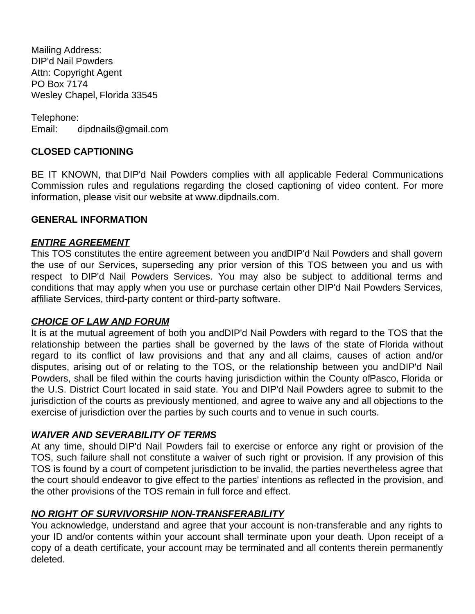Mailing Address: DIP'd Nail Powders Attn: Copyright Agent PO Box 7174 Wesley Chapel, Florida 33545

Telephone: Email: dipdnails@gmail.com

## **CLOSED CAPTIONING**

BE IT KNOWN, that DIP'd Nail Powders complies with all applicable Federal Communications Commission rules and regulations regarding the closed captioning of video content. For more information, please visit our website at www.dipdnails.com.

#### **GENERAL INFORMATION**

## *ENTIRE AGREEMENT*

This TOS constitutes the entire agreement between you andDIP'd Nail Powders and shall govern the use of our Services, superseding any prior version of this TOS between you and us with respect to DIP'd Nail Powders Services. You may also be subject to additional terms and conditions that may apply when you use or purchase certain other DIP'd Nail Powders Services, affiliate Services, third-party content or third-party software.

#### *CHOICE OF LAW AND FORUM*

It is at the mutual agreement of both you andDIP'd Nail Powders with regard to the TOS that the relationship between the parties shall be governed by the laws of the state of Florida without regard to its conflict of law provisions and that any and all claims, causes of action and/or disputes, arising out of or relating to the TOS, or the relationship between you andDIP'd Nail Powders, shall be filed within the courts having jurisdiction within the County ofPasco, Florida or the U.S. District Court located in said state. You and DIP'd Nail Powders agree to submit to the jurisdiction of the courts as previously mentioned, and agree to waive any and all objections to the exercise of jurisdiction over the parties by such courts and to venue in such courts.

## *WAIVER AND SEVERABILITY OF TERMS*

At any time, should DIP'd Nail Powders fail to exercise or enforce any right or provision of the TOS, such failure shall not constitute a waiver of such right or provision. If any provision of this TOS is found by a court of competent jurisdiction to be invalid, the parties nevertheless agree that the court should endeavor to give effect to the parties' intentions as reflected in the provision, and the other provisions of the TOS remain in full force and effect.

## *NO RIGHT OF SURVIVORSHIP NON-TRANSFERABILITY*

You acknowledge, understand and agree that your account is non-transferable and any rights to your ID and/or contents within your account shall terminate upon your death. Upon receipt of a copy of a death certificate, your account may be terminated and all contents therein permanently deleted.